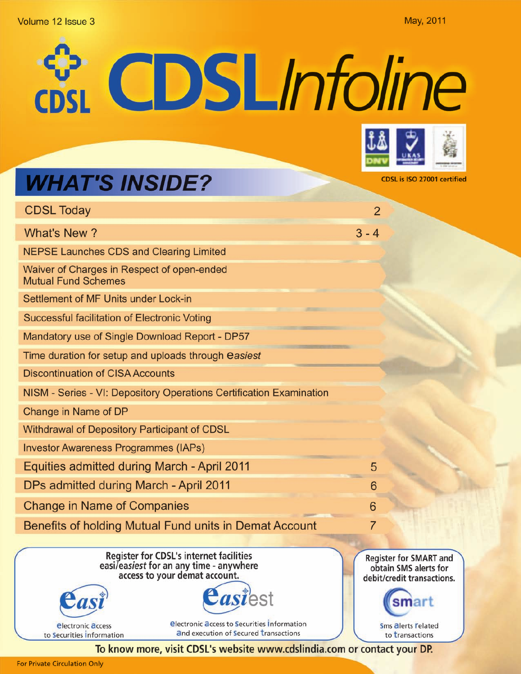### Volume 12 Issue 3

May, 2011

CDSLInfoline



CDSL is ISO 27001 certified

# **WHAT'S INSIDE?**

| <b>CDSL Today</b>                                                        | $\overline{2}$ |
|--------------------------------------------------------------------------|----------------|
| What's New?                                                              | $3 - 4$        |
| <b>NEPSE Launches CDS and Clearing Limited</b>                           |                |
| Waiver of Charges in Respect of open-ended<br><b>Mutual Fund Schemes</b> |                |
| Settlement of MF Units under Lock-in                                     |                |
| Successful facilitation of Electronic Voting                             |                |
| Mandatory use of Single Download Report - DP57                           |                |
| Time duration for setup and uploads through easiest                      |                |
| <b>Discontinuation of CISA Accounts</b>                                  |                |
| NISM - Series - VI: Depository Operations Certification Examination      |                |
| Change in Name of DP                                                     |                |
| Withdrawal of Depository Participant of CDSL                             |                |
| <b>Investor Awareness Programmes (IAPs)</b>                              |                |
| Equities admitted during March - April 2011                              | 5              |
| DPs admitted during March - April 2011                                   | 6              |
| <b>Change in Name of Companies</b>                                       | 6              |
| Benefits of holding Mutual Fund units in Demat Account                   | 7              |
| Register for CDSL's internet facilities                                  |                |

Register for CDSL's internet facilities easi/easiest for an any time - anywhere access to your demat account.



*<u>electronic</u>* **access** 

to Securities Information

*<u>Electronic access to Securities Information</u>* and execution of Secured transactions

**Register for SMART and** obtain SMS alerts for debit/credit transactions.

> Sms alerts **related** to transactions

smart

To know more, visit CDSL's website www.cdslindia.com or contact your DP.

*asiest*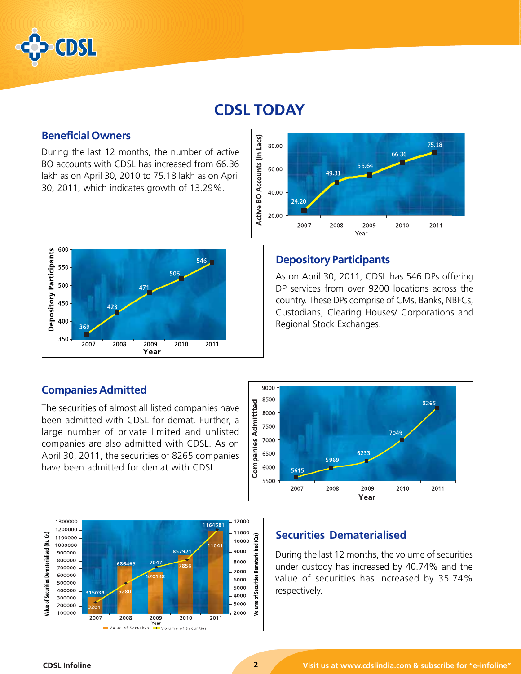

# **CDSL TODAY**

# **Beneficial Owners**

During the last 12 months, the number of active BO accounts with CDSL has increased from 66.36 lakh as on April 30, 2010 to 75.18 lakh as on April 30, 2011, which indicates growth of 13.29%.





# **Depository Participants**

As on April 30, 2011, CDSL has 546 DPs offering DP services from over 9200 locations across the country. These DPs comprise of CMs, Banks, NBFCs, Custodians, Clearing Houses/ Corporations and Regional Stock Exchanges.

# **Companies Admitted**

The securities of almost all listed companies have been admitted with CDSL for demat. Further, a large number of private limited and unlisted companies are also admitted with CDSL. As on April 30, 2011, the securities of 8265 companies have been admitted for demat with CDSL.





## **Securities Dematerialised**

During the last 12 months, the volume of securities under custody has increased by 40.74% and the value of securities has increased by 35.74% respectively.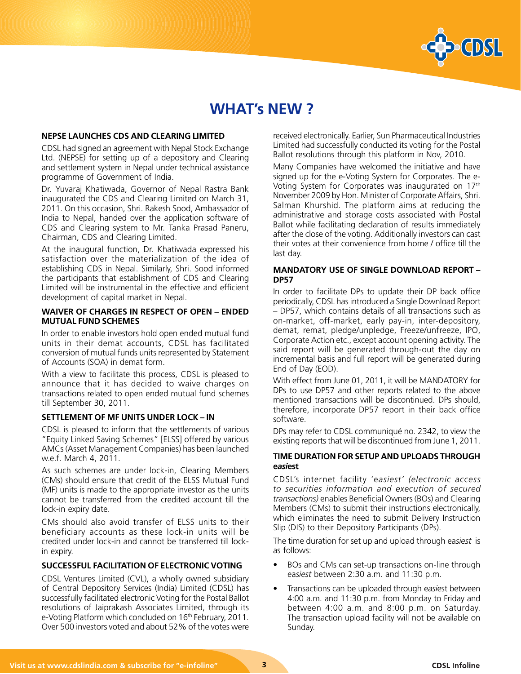

# **WHAT's NEW ?**

#### **NEPSE LAUNCHES CDS AND CLEARING LIMITED**

CDSL had signed an agreement with Nepal Stock Exchange Ltd. (NEPSE) for setting up of a depository and Clearing and settlement system in Nepal under technical assistance programme of Government of India.

Dr. Yuvaraj Khatiwada, Governor of Nepal Rastra Bank inaugurated the CDS and Clearing Limited on March 31, 2011. On this occasion, Shri. Rakesh Sood, Ambassador of India to Nepal, handed over the application software of CDS and Clearing system to Mr. Tanka Prasad Paneru, Chairman, CDS and Clearing Limited.

At the inaugural function, Dr. Khatiwada expressed his satisfaction over the materialization of the idea of establishing CDS in Nepal. Similarly, Shri. Sood informed the participants that establishment of CDS and Clearing Limited will be instrumental in the effective and efficient development of capital market in Nepal.

#### **WAIVER OF CHARGES IN RESPECT OF OPEN – ENDED MUTUAL FUND SCHEMES**

In order to enable investors hold open ended mutual fund units in their demat accounts, CDSL has facilitated conversion of mutual funds units represented by Statement of Accounts (SOA) in demat form.

With a view to facilitate this process, CDSL is pleased to announce that it has decided to waive charges on transactions related to open ended mutual fund schemes till September 30, 2011.

#### **SETTLEMENT OF MF UNITS UNDER LOCK – IN**

CDSL is pleased to inform that the settlements of various "Equity Linked Saving Schemes" [ELSS] offered by various AMCs (Asset Management Companies) has been launched w.e.f. March 4, 2011.

As such schemes are under lock-in, Clearing Members (CMs) should ensure that credit of the ELSS Mutual Fund (MF) units is made to the appropriate investor as the units cannot be transferred from the credited account till the lock-in expiry date.

CMs should also avoid transfer of ELSS units to their beneficiary accounts as these lock-in units will be credited under lock-in and cannot be transferred till lockin expiry.

### **SUCCESSFUL FACILITATION OF ELECTRONIC VOTING**

CDSL Ventures Limited (CVL), a wholly owned subsidiary of Central Depository Services (India) Limited (CDSL) has successfully facilitated electronic Voting for the Postal Ballot resolutions of Jaiprakash Associates Limited, through its e-Voting Platform which concluded on 16<sup>th</sup> February, 2011. Over 500 investors voted and about 52% of the votes were received electronically. Earlier, Sun Pharmaceutical Industries Limited had successfully conducted its voting for the Postal Ballot resolutions through this platform in Nov, 2010.

Many Companies have welcomed the initiative and have signed up for the e-Voting System for Corporates. The e-Voting System for Corporates was inaugurated on 17th November 2009 by Hon. Minister of Corporate Affairs, Shri. Salman Khurshid. The platform aims at reducing the administrative and storage costs associated with Postal Ballot while facilitating declaration of results immediately after the close of the voting. Additionally investors can cast their votes at their convenience from home / office till the last day.

#### **MANDATORY USE OF SINGLE DOWNLOAD REPORT – DP57**

In order to facilitate DPs to update their DP back office periodically, CDSL has introduced a Single Download Report – DP57, which contains details of all transactions such as on-market, off-market, early pay-in, inter-depository, demat, remat, pledge/unpledge, Freeze/unfreeze, IPO, Corporate Action etc., except account opening activity. The said report will be generated through-out the day on incremental basis and full report will be generated during End of Day (EOD).

With effect from June 01, 2011, it will be MANDATORY for DPs to use DP57 and other reports related to the above mentioned transactions will be discontinued. DPs should, therefore, incorporate DP57 report in their back office software.

DPs may refer to CDSL communiqué no. 2342, to view the existing reports that will be discontinued from June 1, 2011.

#### **TIME DURATION FOR SETUP AND UPLOADS THROUGH e***asi***est**

CDSL's internet facility 'e*asiest' (electronic access to securities information and execution of secured transactions)* enables Beneficial Owners (BOs) and Clearing Members (CMs) to submit their instructions electronically, which eliminates the need to submit Delivery Instruction Slip (DIS) to their Depository Participants (DPs).

The time duration for set up and upload through ea*siest* is as follows:

- BOs and CMs can set-up transactions on-line through ea*siest* between 2:30 a.m. and 11:30 p.m.
- Transactions can be uploaded through e*asi*est between 4:00 a.m. and 11:30 p.m. from Monday to Friday and between 4:00 a.m. and 8:00 p.m. on Saturday. The transaction upload facility will not be available on Sunday.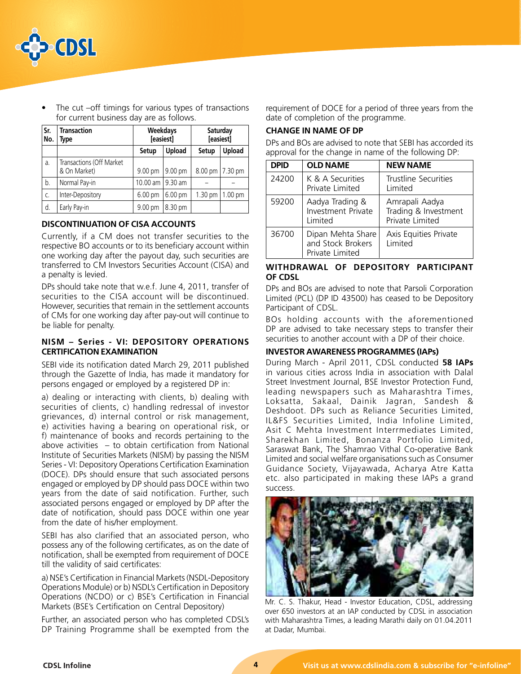

The cut –off timings for various types of transactions for current business day are as follows.

| Sr.<br>No. | <b>Transaction</b><br>Type               | Weekdays<br>[easiest] |               | Saturday<br>[easiest] |                    |
|------------|------------------------------------------|-----------------------|---------------|-----------------------|--------------------|
|            |                                          | Setup                 | <b>Upload</b> | Setup                 | Upload             |
| a.         | Transactions (Off Market<br>& On Market) | 9.00 pm               | 9.00 pm       | 8.00 pm               | $ 7.30 \text{ pm}$ |
| b.         | Normal Pay-in                            | 10.00 am   9.30 am    |               |                       |                    |
| C.         | Inter-Depository                         | 6.00 pm               | 6.00 pm       | 1.30 <sub>pm</sub>    | 1.00 <sub>pm</sub> |
| d.         | Early Pay-in                             | 9.00 pm               | 8.30 pm       |                       |                    |

### **DISCONTINUATION OF CISA ACCOUNTS**

Currently, if a CM does not transfer securities to the respective BO accounts or to its beneficiary account within one working day after the payout day, such securities are transferred to CM Investors Securities Account (CISA) and a penalty is levied.

DPs should take note that w.e.f. June 4, 2011, transfer of securities to the CISA account will be discontinued. However, securities that remain in the settlement accounts of CMs for one working day after pay-out will continue to be liable for penalty.

### **NISM – Series - VI: DEPOSITORY OPERATIONS CERTIFICATION EXAMINATION**

SEBI vide its notification dated March 29, 2011 published through the Gazette of India, has made it mandatory for persons engaged or employed by a registered DP in:

a) dealing or interacting with clients, b) dealing with securities of clients, c) handling redressal of investor grievances, d) internal control or risk management, e) activities having a bearing on operational risk, or f) maintenance of books and records pertaining to the above activities – to obtain certification from National Institute of Securities Markets (NISM) by passing the NISM Series - VI: Depository Operations Certification Examination (DOCE). DPs should ensure that such associated persons engaged or employed by DP should pass DOCE within two years from the date of said notification. Further, such associated persons engaged or employed by DP after the date of notification, should pass DOCE within one year from the date of his/her employment.

SEBI has also clarified that an associated person, who possess any of the following certificates, as on the date of notification, shall be exempted from requirement of DOCE till the validity of said certificates:

a) NSE's Certification in Financial Markets (NSDL-Depository Operations Module) or b) NSDL's Certification in Depository Operations (NCDO) or c) BSE's Certification in Financial Markets (BSE's Certification on Central Depository)

Further, an associated person who has completed CDSL's DP Training Programme shall be exempted from the requirement of DOCE for a period of three years from the date of completion of the programme.

### **CHANGE IN NAME OF DP**

DPs and BOs are advised to note that SEBI has accorded its approval for the change in name of the following DP:

| <b>DPID</b> | <b>OLD NAME</b>                                           | <b>NEW NAME</b>                                           |
|-------------|-----------------------------------------------------------|-----------------------------------------------------------|
| 24200       | K & A Securities<br>Private Limited                       | Trustline Securities<br>Limited                           |
| 59200       | Aadya Trading &<br>Investment Private<br>Limited          | Amrapali Aadya<br>Trading & Investment<br>Private Limited |
| 36700       | Dipan Mehta Share<br>and Stock Brokers<br>Private Limited | Axis Equities Private<br>Limited                          |

#### **WITHDRAWAL OF DEPOSITORY PARTICIPANT OF CDSL**

DPs and BOs are advised to note that Parsoli Corporation Limited (PCL) (DP ID 43500) has ceased to be Depository Participant of CDSL.

BOs holding accounts with the aforementioned DP are advised to take necessary steps to transfer their securities to another account with a DP of their choice.

#### **INVESTOR AWARENESS PROGRAMMES (IAPs)**

During March - April 2011, CDSL conducted **58 IAPs** in various cities across India in association with Dalal Street Investment Journal, BSE Investor Protection Fund, leading newspapers such as Maharashtra Times, Loksatta, Sakaal, Dainik Jagran, Sandesh & Deshdoot. DPs such as Reliance Securities Limited, IL&FS Securities Limited, India Infoline Limited, Asit C Mehta Investment Interrmediates Limited, Sharekhan Limited, Bonanza Portfolio Limited, Saraswat Bank, The Shamrao Vithal Co-operative Bank Limited and social welfare organisations such as Consumer Guidance Society, Vijayawada, Acharya Atre Katta etc. also participated in making these IAPs a grand success.



Mr. C. S. Thakur, Head - Investor Education, CDSL, addressing over 650 investors at an IAP conducted by CDSL in association with Maharashtra Times, a leading Marathi daily on 01.04.2011 at Dadar, Mumbai.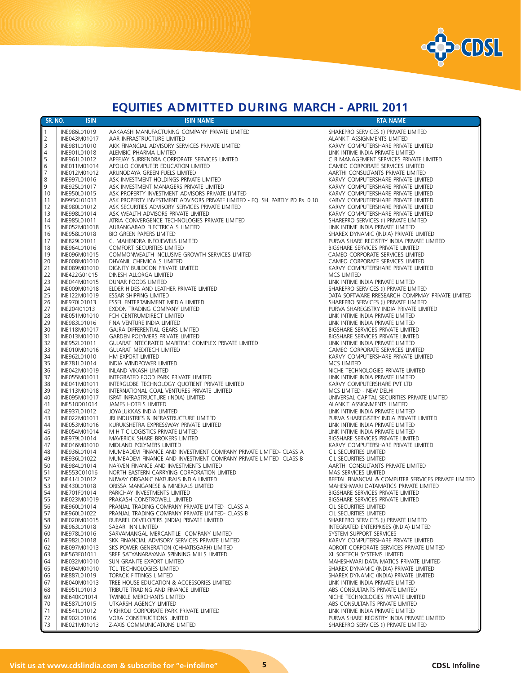

# **EQUITIES ADMITTED DURING MARCH - APRIL 2011**

| SR. NO.        | <b>ISIN</b>                  | <b>ISIN NAME</b>                                                                                                                  | <b>RTA NAME</b>                                                                  |
|----------------|------------------------------|-----------------------------------------------------------------------------------------------------------------------------------|----------------------------------------------------------------------------------|
| $\vert$ 1      | INE986L01019                 | AAKAASH MANUFACTURING COMPANY PRIVATE LIMITED                                                                                     | SHAREPRO SERVICES (I) PRIVATE LIMITED                                            |
| $\overline{2}$ | INE043M01017                 | AAR INFRASTRUCTURE LIMITED                                                                                                        | ALANKIT ASSIGNMENTS LIMITED                                                      |
| 3              | INE981L01010                 | AKK FINANCIAL ADVISORY SERVICES PRIVATE LIMITED                                                                                   | KARVY COMPUTERSHARE PRIVATE LIMITED                                              |
| $\overline{4}$ | INE901L01018                 | ALEMBIC PHARMA LIMITED                                                                                                            | LINK INTIME INDIA PRIVATE LIMITED                                                |
| 5              | INE961L01012                 | APEEJAY SURRENDRA CORPORATE SERVICES LIMITED                                                                                      | C B MANAGEMENT SERVICES PRIVATE LIMITED                                          |
| 6              | INE011M01014                 | APOLLO COMPUTER EDUCATION LIMITED                                                                                                 | CAMEO CORPORATE SERVICES LIMITED                                                 |
| 7              | INE012M01012                 | ARUNODAYA GREEN FUELS LIMITED                                                                                                     | AARTHI CONSULTANTS PRIVATE LIMITED                                               |
| 8              | INE997L01016                 | ASK INVESTMENT HOLDINGS PRIVATE LIMITED                                                                                           | KARVY COMPUTERSHARE PRIVATE LIMITED                                              |
| 9              | INE925L01017                 | ASK INVESTMENT MANAGERS PRIVATE LIMITED                                                                                           | KARVY COMPUTERSHARE PRIVATE LIMITED                                              |
| 10<br> 11      | INE950L01015<br>IN9950L01013 | ASK PROPERTY INVESTMENT ADVISORS PRIVATE LIMITED<br>ASK PROPERTY INVESTMENT ADVISORS PRIVATE LIMITED - EQ. SH. PARTLY PD Rs. 0.10 | KARVY COMPUTERSHARE PRIVATE LIMITED<br>KARVY COMPUTERSHARE PRIVATE LIMITED       |
| 12             | INE980L01012                 | ASK SECURITIES ADVISORY SERVICES PRIVATE LIMITED                                                                                  | KARVY COMPUTERSHARE PRIVATE LIMITED                                              |
| 13             | INE998L01014                 | ASK WEALTH ADVISORS PRIVATE LIMITED                                                                                               | KARVY COMPUTERSHARE PRIVATE LIMITED                                              |
| 14             | INE985L01011                 | ATRIA CONVERGENCE TECHNOLOGIES PRIVATE LIMITED                                                                                    | SHAREPRO SERVICES (I) PRIVATE LIMITED                                            |
| 15             | INE052M01018                 | AURANGABAD ELECTRICALS LIMITED                                                                                                    | LINK INTIME INDIA PRIVATE LIMITED                                                |
| 16             | INE958L01018                 | BIO GREEN PAPERS LIMITED                                                                                                          | SHAREX DYNAMIC (INDIA) PRIVATE LIMITED                                           |
| 17             | INE829L01011                 | C. MAHENDRA INFOJEWELS LIMITED                                                                                                    | PURVA SHARE REGISTRY INDIA PRIVATE LIMITED                                       |
| 18             | INE964L01016                 | COMFORT SECURITIES LIMITED                                                                                                        | BIGSHARE SERVICES PRIVATE LIMITED                                                |
| 19             | INE096M01015                 | COMMONWEALTH INCLUSIVE GROWTH SERVICES LIMITED                                                                                    | CAMEO CORPORATE SERVICES LIMITED                                                 |
| 20             | INE008M01010                 | DHVANIL CHEMICALS LIMITED                                                                                                         | CAMEO CORPORATE SERVICES LIMITED                                                 |
| 21<br>22       | INE089M01010<br>INE422G01015 | DIGNITY BUILDCON PRIVATE LIMITED<br>DINESH ALLORGA LIMITED                                                                        | KARVY COMPUTERSHARE PRIVATE LIMITED<br>MCS LIMITED                               |
| 23             | INE044M01015                 | DUNAR FOODS LIMITED                                                                                                               | LINK INTIME INDIA PRIVATE LIMITED                                                |
| 24             | INE009M01018                 | ELDER HIDES AND LEATHER PRIVATE LIMITED                                                                                           | SHAREPRO SERVICES (I) PRIVATE LIMITED                                            |
| 25             | INE122M01019                 | ESSAR SHIPPING LIMITED                                                                                                            | DATA SOFTWARE RRESEARCH COMPMAY PRIVATE LIMITED                                  |
| 26             | INE970L01013                 | ESSEL ENTERTAINMENT MEDIA LIMITED                                                                                                 | SHAREPRO SERVICES (I) PRIVATE LIMITED                                            |
| 27             | INE204I01013                 | EXDON TRADING COMPANY LIMITED                                                                                                     | PURVA SHAREGISTRY INDIA PRIVATE LIMITED                                          |
| 28             | INE051M01010                 | FCH CENTRUMDIRECT LIMITED                                                                                                         | LINK INTIME INDIA PRIVATE LIMITED                                                |
| 29             | INE983L01016                 | FINA VENTURE INDIA LIMITED                                                                                                        | LINK INTIME INDIA PRIVATE LIMITED                                                |
| 30             | INE118M01017                 | GAJRA DIFFERENTIAL GEARS LIMITED                                                                                                  | BIGSHARE SERVICES PRIVATE LIMITED                                                |
| 31             | INE013M01010                 | GARDEN POLYMERS PRIVATE LIMITED                                                                                                   | BIGSHARE SERVICES PRIVATE LIMITED                                                |
| 32<br>33       | INE952L01011<br>INE010M01016 | GUJARAT INTEGRATED MARITIME COMPLEX PRIVATE LIMITED<br><b>GUJARAT MEDITECH LIMITED</b>                                            | LINK INTIME INDIA PRIVATE LIMITED<br>CAMEO CORPORATE SERVICES LIMITED            |
| 34             | INE962L01010                 | HM EXPORT LIMITED                                                                                                                 | KARVY COMPUTERSHARE PRIVATE LIMITED                                              |
| 35             | INE781L01014                 | INDIA WINDPOWER LIMITED                                                                                                           | MCS LIMITED                                                                      |
| 36             | INE042M01019                 | INLAND VIKASH LIMITED                                                                                                             | NICHE TECHNOLOGIES PRIVATE LIMITED                                               |
| 37             | INE055M01011                 | INTEGRATED FOOD PARK PRIVATE LIMITED                                                                                              | LINK INTIME INDIA PRIVATE LIMITED                                                |
| 38             | INE041M01011                 | INTERGLOBE TECHNOLOGY QUOTIENT PRIVATE LIMITED                                                                                    | KARVY COMPUTERSHARE PVT LTD                                                      |
| 39             | INE113M01018                 | INTERNATIONAL COAL VENTURES PRIVATE LIMITED                                                                                       | MCS LIMITED - NEW DELHI                                                          |
| 40<br>41       | INE095M01017<br>INE510D01014 | ISPAT INFRASTRUCTURE (INDIA) LIMITED<br>JAMES HOTELS LIMITED                                                                      | UNIVERSAL CAPITAL SECURITIES PRIVATE LIMITED<br>ALANKIT ASSIGNMENTS LIMITED      |
| 42             | INE937L01012                 | JOYALUKKAS INDIA LIMITED                                                                                                          | LINK INTIME INDIA PRIVATE LIMITED                                                |
| 43             | INE022M01011                 | JRI INDUSTRIES & INFRASTRUCTURE LIMITED                                                                                           | PURVA SHAREGISTRY INDIA PRIVATE LIMITED                                          |
| 44             | INE053M01016                 | KURUKSHETRA EXPRESSWAY PRIVATE LIMITED                                                                                            | LINK INTIME INDIA PRIVATE LIMITED                                                |
| 45             | INE054M01014                 | M H T C LOGISTICS PRIVATE LIMITED                                                                                                 | LINK INTIME INDIA PRIVATE LIMITED                                                |
| 46             | INE979L01014                 | MAVERICK SHARE BROKERS LIMITED                                                                                                    | BIGSHARE SERVICES PRIVATE LIMITED                                                |
| 47<br>48       | INE046M01010<br>INE936L01014 | MIDLAND POLYMERS LIMITED<br>MUMBADEVI FINANCE AND INVESTMENT COMPANY PRIVATE LIMITED- CLASS A                                     | KARVY COMPUTERSHARE PRIVATE LIMITED<br>CIL SECURITIES LIMITED                    |
| 49             | INE936L01022                 | MUMBADEVI FINANCE AND INVESTMENT COMPANY PRIVATE LIMITED- CLASS B                                                                 | CIL SECURITIES LIMITED                                                           |
| 50             | INE984L01014                 | NARVEN FINANCE AND INVESTMENTS LIMITED                                                                                            | AARTHI CONSULTANTS PRIVATE LIMITED                                               |
| 51             | INE553C01016                 | NORTH EASTERN CARRYING CORPORATION LIMITED                                                                                        | MAS SERVICES LIMITED                                                             |
| 52             | INE414L01012                 | NUWAY ORGANIC NATURALS INDIA LIMITED                                                                                              | BEETAL FINANCIAL & COMPUTER SERVICES PRIVATE LIMITED                             |
| 53             | INE430L01018                 | ORISSA MANGANESE & MINERALS LIMITED                                                                                               | MAHESHWARI DATAMATICS PRIVATE LIMITED                                            |
| 54             | INE701F01014                 | PARICHAY INVESTMENTS LIMITED                                                                                                      | BIGSHARE SERVICES PRIVATE LIMITED                                                |
| 55<br>56       | INE023M01019<br>INE960L01014 | PRAKASH CONSTROWELL LIMITED<br>PRANJAL TRADING COMPANY PRIVATE LIMITED- CLASS A                                                   | BIGSHARE SERVICES PRIVATE LIMITED<br>CIL SECURITIES LIMITED                      |
| 57             | INE960L01022                 | PRANJAL TRADING COMPANY PRIVATE LIMITED- CLASS B                                                                                  | CIL SECURITIES LIMITED                                                           |
| 58             | INE020M01015                 | RUPAREL DEVELOPERS (INDIA) PRIVATE LIMITED                                                                                        | SHAREPRO SERVICES (I) PRIVATE LIMITED                                            |
| 59             | INE963L01018                 | SABARI INN LIMITED                                                                                                                | INTEGRATED ENTERPRISES (INDIA) LIMITED                                           |
| 60             | INE978L01016                 | SARVAMANGAL MERCANTILE COMPANY LIMITED                                                                                            | SYSTEM SUPPORT SERVICES                                                          |
| 61             | INE982L01018                 | SKK FINANCIAL ADVISORY SERVICES PRIVATE LIMITED                                                                                   | KARVY COMPUTERSHARE PRIVATE LIMITED                                              |
| 62             | INE097M01013                 | SKS POWER GENERATION (CHHATISGARH) LIMITED                                                                                        | ADROIT CORPORATE SERVICES PRIVATE LIMITED                                        |
| 63<br>64       | INE563E01011                 | SREE SATYANARAYANA SPINNING MILLS LIMITED                                                                                         | XL SOFTECH SYSTEMS LIMITED                                                       |
|                | INE032M01010<br>INE094M01010 | SUN GRANITE EXPORT LIMITED<br>TCL TECHNOLOGIES LIMITED                                                                            | MAHESHWARI DATA MATICS PRIVATE LIMITED                                           |
| 65<br>66       | INE887L01019                 | TOPACK FITTINGS LIMITED                                                                                                           | SHAREX DYNAMIC (INDIA) PRIVATE LIMITED<br>SHAREX DYNAMIC (INDIA) PRIVATE LIMITED |
| 67             | INE040M01013                 | TREE HOUSE EDUCATION & ACCESSORIES LIMITED                                                                                        | LINK INTIME INDIA PRIVATE LIMITED                                                |
| 68             | INE951L01013                 | TRIBUTE TRADING AND FINANCE LIMITED                                                                                               | ABS CONSULTANTS PRIVATE LIMITED                                                  |
| 69             | INE640K01014                 | TWINKLE MERCHANTS LIMITED                                                                                                         | NICHE TECHNOLOGIES PRIVATE LIMITED                                               |
| 70             | INE587L01015                 | UTKARSH AGENCY LIMITED                                                                                                            | ABS CONSULTANTS PRIVATE LIMITED                                                  |
| 71             | INE541L01012                 | VIKHROLI CORPORATE PARK PRIVATE LIMITED                                                                                           | LINK INTIME INDIA PRIVATE LIMITED                                                |
| 72             | INE902L01016                 | VORA CONSTRUCTIONS LIMITED                                                                                                        | PURVA SHARE REGISTRY INDIA PRIVATE LIMITED                                       |
| 73             | INE021M01013                 | Z-AXIS COMMUNICATIONS LIMITED                                                                                                     | SHAREPRO SERVICES (I) PRIVATE LIMITED                                            |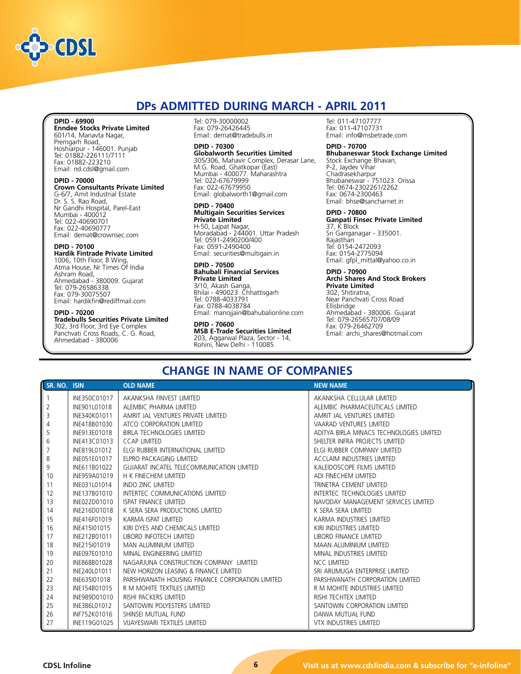

# **DPs ADMITTED DURING MARCH - APRIL 2011**

#### **DPID - 69900**

**Enndee Stocks Private Limited** 601/14, Manavta Nagar, Premgarh Road, Hoshiarpur - 146001. Punjab Tel: 01882-226111/7111 Fax: 01882-223210 Email: nd.cdsl@gmail.com

#### **DPID - 70000**

**Crown Consultants Private Limited** G-6/7, Amit Industrial Estate Dr. S. S. Rao Road, Nr Gandhi Hospital, Parel-East Mumbai - 400012 Tel: 022-40690701 Fax: 022-40690777 Email: demat@crownsec.com

#### **DPID - 70100**

**Hardik Fintrade Private Limited** 1006, 10th Floor, B Wing, Atma House, Nr Times Of India Ashram Road, Ahmedabad - 380009. Gujarat Tel: 079-26586338 Fax: 079-30075507 Email: hardikfin@rediffmail.com

#### **DPID - 70200**

**Tradebulls Securities Private Limited** 302, 3rd Floor, 3rd Eye Complex Panchvati Cross Roads, C. G. Road, Ahmedabad - 380006

Tel: 079-30000002 Fax: 079-26426445 Email: demat@tradebulls.in

#### **DPID - 70300**

**Globalworth Securities Limited** 305/306, Mahavir Complex, Derasar Lane, M.G. Road, Ghatkopar (East) Mumbai - 400077. Maharashtra Tel: 022-67679999 Fax: 022-67679950 Email: globalworth1@gmail.com

#### **DPID - 70400 Multigain Securities Services Private Limited** H-50, Lajpat Nagar, Moradabad - 244001. Uttar Pradesh Tel: 0591-2490200/400 Fax: 0591-2490400 Email: securities@multigain.in

#### **DPID - 70500 Bahubali Financial Services Private Limited** 3/10, Akash Ganga, Bhilai - 490023. Chhattisgarh

Tel: 0788-4033791 Fax: 0788-4038784 Email: manojjain@bahubalionline.com

**DPID - 70600 MSB E-Trade Securities Limited** 203, Aggarwal Plaza, Sector - 14, Rohini, New Delhi - 110085

Tel: 011-47107777 Fax: 011-47107731 Email: info@msbetrade.com

#### **DPID - 70700**

**Bhubaneswar Stock Exchange Limited** Stock Exchange Bhavan, P-2, Jaydev Vihar Chadrasekharpur Bhubaneswar - 751023. Orissa Tel: 0674-2302261/2262 Fax: 0674-2300463 Email: bhse@sancharnet.in

**DPID - 70800 Ganpati Finsec Private Limited** 37, K Block Sri Ganganagar - 335001. Rajasthan Tel: 0154-2472093 Fax: 0154-2775094 Email: gfpl\_mittal@yahoo.co.in

**DPID - 70900 Archi Shares And Stock Brokers Private Limited** 302, Shitiratna, Near Panchvati Cross Road Ellisbridge Ahmedabad - 380006. Gujarat Tel: 079-26565707/08/09 Fax: 079-26462709 Email: archi\_shares@hotmail.com

# **CHANGE IN NAME OF COMPANIES**

| SR. NO. ISIN |              | <b>OLD NAME</b>                                 | <b>NEW NAME</b>                          |
|--------------|--------------|-------------------------------------------------|------------------------------------------|
|              | INE350C01017 | AKANKSHA FINVEST LIMITED                        | AKANKSHA CELLULAR LIMITED                |
| 2            | INE901L01018 | ALEMBIC PHARMA LIMITED                          | ALEMBIC PHARMACEUTICALS LIMITED          |
| 3            | INE340K01011 | AMRIT JAL VENTURES PRIVATE LIMITED              | AMRIT JAL VENTURES LIMITED               |
| 4            | INE418B01030 | ATCO CORPORATION LIMITED                        | VAARAD VENTURES LIMITED                  |
| 5            | INE913E01018 | BIRLA TECHNOLOGIES LIMITED                      | ADITYA BIRLA MINACS TECHNOLOGIES LIMITED |
| 6            | INE413C01013 | <b>CCAP LIMITED</b>                             | SHELTER INFRA PROJECTS LIMITED           |
|              | INE819L01012 | ELGI RUBBER INTERNATIONAL LIMITED               | ELGI RUBBER COMPANY LIMITED              |
| 8            | INE051E01017 | ELPRO PACKAGING LIMITED                         | <b>ACCLAIM INDUSTRIES LIMITED</b>        |
| 9            | INE611B01022 | GUJARAT INCATEL TELECOMMUNICATION LIMITED       | KALEIDOSCOPE FILMS LIMITED               |
| 10           | INE959A01019 | H K FINECHEM LIMITED                            | ADI FINECHEM LIMITED                     |
| 11           | INE031L01014 | <b>INDO ZINC LIMITED</b>                        | TRINETRA CEMENT LIMITED                  |
| 12           | INE137B01010 | INTERTEC COMMUNICATIONS LIMITED                 | INTERTEC TECHNOLOGIES LIMITED            |
| 13           | INE022D01010 | <b>ISPAT FINANCE LIMITED</b>                    | NAVODAY MANAGEMENT SERVICES LIMITED      |
| 14           | INE216D01018 | K SERA SERA PRODUCTIONS LIMITED                 | K SERA SERA LIMITED                      |
| 15           | INE416F01019 | KARMA ISPAT LIMITED                             | KARMA INDUSTRIES LIMITED                 |
| 16           | INE415101015 | KIRI DYES AND CHEMICALS LIMITED                 | KIRI INDUSTRIES LIMITED                  |
| 17           | INE212B01011 | LIBORD INFOTECH LIMITED                         | LIBORD FINANCE LIMITED                   |
| 18           | INE215I01019 | MAN ALUMINIUM LIMITED                           | MAAN ALUMINIUM LIMITED                   |
| 19           | INE097E01010 | MINAL ENGINEERING LIMITED                       | MINAL INDUSTRIES LIMITED                 |
| 20           | INE868B01028 | NAGARJUNA CONSTRUCTION COMPANY LIMITED          | NCC LIMITED                              |
| 21           | INE240L01011 | NEW HORIZON LEASING & FINANCE LIMITED           | SRI ARUMUGA ENTERPRISE LIMITED           |
| 22           | INE635I01018 | PARSHWANATH HOUSING FINANCE CORPORATION LIMITED | PARSHWANATH CORPORATION LIMITED          |
| 23           | INE154B01015 | R M MOHITE TEXTILES LIMITED                     | R M MOHITE INDUSTRIES LIMITED            |
| 24           | INE989D01010 | RISHI PACKERS LIMITED                           | RISHI TECHTEX LIMITED                    |
| 25           | INE386L01012 | SANTOWIN POLYESTERS LIMITED                     | SANTOWIN CORPORATION LIMITED             |
| 26           | INF752K01016 | SHINSEI MUTUAL FUND                             | DAIWA MUTUAL FUND                        |
| 27           | INE119G01025 | VIJAYESWARI TEXTILES LIMITED                    | VTX INDUSTRIES LIMITED                   |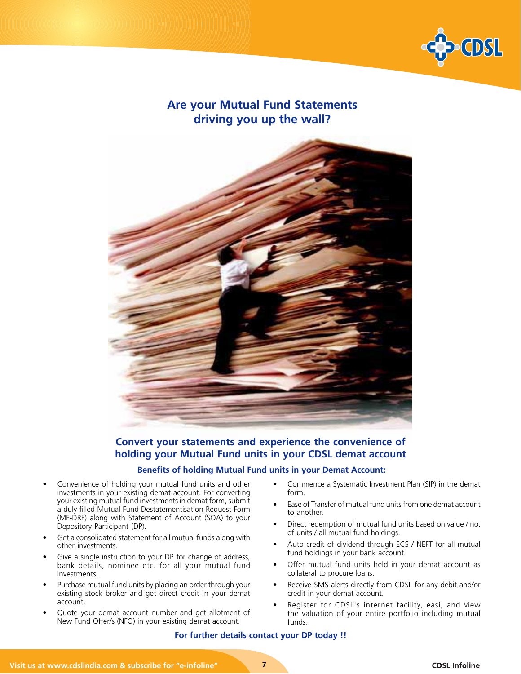

# **Are your Mutual Fund Statements driving you up the wall?**



## **Convert your statements and experience the convenience of holding your Mutual Fund units in your CDSL demat account**

### **Benefits of holding Mutual Fund units in your Demat Account:**

- Convenience of holding your mutual fund units and other investments in your existing demat account. For converting your existing mutual fund investments in demat form, submit a duly filled Mutual Fund Destatementisation Request Form (MF-DRF) along with Statement of Account (SOA) to your Depository Participant (DP).
- Get a consolidated statement for all mutual funds along with other investments.
- Give a single instruction to your DP for change of address, bank details, nominee etc. for all your mutual fund investments.
- Purchase mutual fund units by placing an order through your existing stock broker and get direct credit in your demat account.
- Quote your demat account number and get allotment of New Fund Offer/s (NFO) in your existing demat account.
- Commence a Systematic Investment Plan (SIP) in the demat form.
- Ease of Transfer of mutual fund units from one demat account to another.
- Direct redemption of mutual fund units based on value / no. of units / all mutual fund holdings.
- Auto credit of dividend through ECS / NEFT for all mutual fund holdings in your bank account.
- Offer mutual fund units held in your demat account as collateral to procure loans.
- Receive SMS alerts directly from CDSL for any debit and/or credit in your demat account.
- Register for CDSL's internet facility, easi, and view the valuation of your entire portfolio including mutual funds.

### **For further details contact your DP today !!**